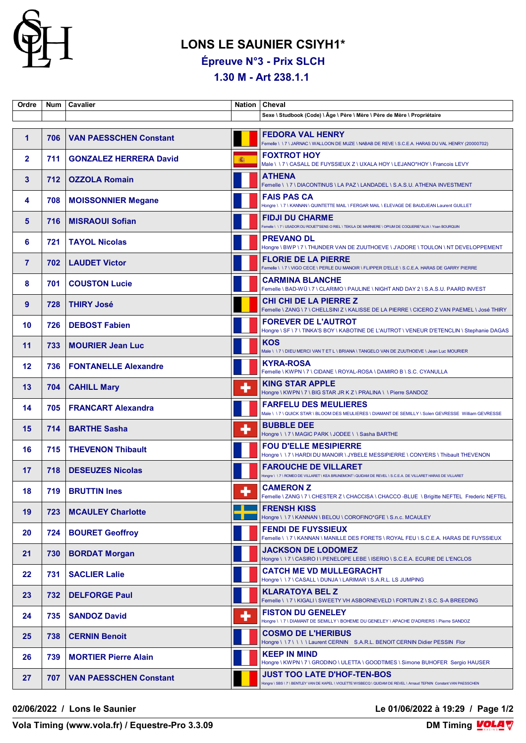

## **LONS LE SAUNIER CSIYH1\***

**Épreuve N°3 - Prix SLCH**

**1.30 M - Art 238.1.1** 

| Ordre          | <b>Num</b> | Cavalier                      | Nation   | Cheval                                                                                                                                                    |
|----------------|------------|-------------------------------|----------|-----------------------------------------------------------------------------------------------------------------------------------------------------------|
|                |            |                               |          | Sexe \ Studbook (Code) \ Âge \ Père \ Mère \ Père de Mère \ Propriétaire                                                                                  |
| 1              | 706        | <b>VAN PAESSCHEN Constant</b> |          | <b>FEDORA VAL HENRY</b><br>Femelle \ \ 7 \ JARNAC \ WALLOON DE MUZE \ NABAB DE REVE \ S.C.E.A. HARAS DU VAL HENRY (20000702)                              |
| $\mathbf{2}$   | 711        | <b>GONZALEZ HERRERA David</b> | <b>高</b> | <b>FOXTROT HOY</b><br>Male \\7\CASALL DE FUYSSIEUX Z\UXALA HOY\LEJANO*HOY\Francois LEVY                                                                   |
| 3              | 712        | <b>OZZOLA Romain</b>          |          | <b>ATHENA</b><br>Femelle \\7\DIACONTINUS\LA PAZ\LANDADEL\S.A.S.U. ATHENA INVESTMENT                                                                       |
| 4              | 708        | <b>MOISSONNIER Megane</b>     |          | <b>FAIS PAS CA</b><br>Hongre \ \ 7 \ KANNAN \ QUINTETTE MAIL \ FERGAR MAIL \ ELEVAGE DE BAUDJEAN Laurent GUILLET                                          |
| 5              | 716        | <b>MISRAOUI Sofian</b>        |          | <b>FIDJI DU CHARME</b><br>Femelle \\7\USADOR DU ROUET*SENS O RIEL\TEKILA DE MARNIERE \OPIUM DE COQUERIE*ALIA \Yoan BOURQUIN                               |
| 6              | 721        | <b>TAYOL Nicolas</b>          |          | <b>PREVANO DL</b><br>Hongre \ BWP \ 7 \ THUNDER VAN DE ZUUTHOEVE \ J'ADORE \ TOULON \ NT DEVELOPPEMENT                                                    |
| $\overline{7}$ | 702        | <b>LAUDET Victor</b>          |          | <b>FLORIE DE LA PIERRE</b><br>Femelle \\7\VIGO CECE \PERLE DU MANOIR \FLIPPER D'ELLE \S.C.E.A. HARAS DE GARRY PIERRE                                      |
| 8              | 701        | <b>COUSTON Lucie</b>          |          | <b>CARMINA BLANCHE</b><br>Femelle \BAD-WÜ\7\CLARIMO\PAULINE\NIGHT AND DAY 2\S.A.S.U. PAARD INVEST                                                         |
| 9              | 728        | <b>THIRY José</b>             |          | <b>CHI CHI DE LA PIERRE Z</b><br>Femelle \ ZANG \ 7 \ CHELLSINI Z \ KALISSE DE LA PIERRE \ CICERO Z VAN PAEMEL \ José THIRY                               |
| 10             | 726        | <b>DEBOST Fabien</b>          |          | <b>FOREVER DE L'AUTROT</b><br>Hongre \ SF \ 7 \ TINKA'S BOY \ KABOTINE DE L'AUTROT \ VENEUR D'ETENCLIN \ Stephanie DAGAS                                  |
| 11             | 733        | <b>MOURIER Jean Luc</b>       |          | <b>KOS</b><br>Male \ \ 7 \ DIEU MERCI VAN T ET L \ BRIANA \ TANGELO VAN DE ZUUTHOEVE \ Jean Luc MOURIER                                                   |
| 12             | 736        | <b>FONTANELLE Alexandre</b>   |          | <b>KYRA-ROSA</b><br>Femelle \ KWPN \ 7 \ CIDANE \ ROYAL-ROSA \ DAMIRO B \ S.C. CYANULLA                                                                   |
| 13             | 704        | <b>CAHILL Mary</b>            | ٠        | <b>KING STAR APPLE</b><br>Hongre \ KWPN \ 7 \ BIG STAR JR K Z \ PRALINA \ \ Pierre SANDOZ                                                                 |
| 14             | 705        | <b>FRANCART Alexandra</b>     |          | <b>FARFELU DES MEULIERES</b><br>Male \ \ 7 \ QUICK STAR \ BLOOM DES MEULIERES \ DIAMANT DE SEMILLY \ Solen GEVRESSE William GEVRESSE                      |
| 15             | 714        | <b>BARTHE Sasha</b>           | ٠        | <b>BUBBLE DEE</b><br>Hongre \\7\MAGIC PARK\JODEE\\Sasha BARTHE                                                                                            |
| 16             | 715        | <b>THEVENON Thibault</b>      |          | <b>FOU D'ELLE MESIPIERRE</b><br>Hongre \\7\HARDI DU MANOIR \ JYBELE MESSIPIERRE \ CONYERS \ Thibault THEVENON                                             |
| 17             | 718        | <b>DESEUZES Nicolas</b>       |          | <b>FAROUCHE DE VILLARET</b><br>Hongre \ \ 7 \ ROMEO DE VILLARET \ KEA BRUNEMONT \ QUIDAM DE REVEL \ S.C.E.A. DE VILLARET HARAS DE VILLARET                |
| 18             | 719 I      | <b>BRUTTIN Ines</b>           | ۰        | <b>CAMERON Z</b><br>Femelle \ ZANG \ 7 \ CHESTER Z \ CHACCISA \ CHACCO -BLUE \ Brigitte NEFTEL Frederic NEFTEL                                            |
| 19             | 723        | <b>MCAULEY Charlotte</b>      |          | <b>FRENSH KISS</b><br>Hongre \\7\KANNAN\BELOU\COROFINO*GFE\S.n.c. MCAULEY                                                                                 |
| 20             | 724        | <b>BOURET Geoffroy</b>        |          | <b>FENDI DE FUYSSIEUX</b><br>Femelle \\7\KANNAN\MANILLE DES FORETS\ROYAL FEU\S.C.E.A. HARAS DE FUYSSIEUX                                                  |
| 21             | 730        | <b>BORDAT Morgan</b>          |          | <b>JACKSON DE LODOMEZ</b><br>Hongre \ \ 7 \ CASIRO I \ PENELOPE LEBE \ ISERIO \ S.C.E.A. ECURIE DE L'ENCLOS                                               |
| 22             | 731        | <b>SACLIER Lalie</b>          |          | <b>CATCH ME VD MULLEGRACHT</b><br>Hongre \\7\CASALL\DUNJA\LARIMAR\S.A.R.L. LS JUMPING                                                                     |
| 23             | 732        | <b>DELFORGE Paul</b>          |          | <b>KLARATOYA BEL Z</b><br>Femelle \\7\KIGALI\SWEETYVH ASBORNEVELD\FORTUIN Z\S.C. S-A BREEDING                                                             |
| 24             | 735        | <b>SANDOZ David</b>           | ٠        | <b>FISTON DU GENELEY</b><br>Hongre \ \ 7 \ DIAMANT DE SEMILLY \ BOHEME DU GENELEY \ APACHE D'ADRIERS \ Pierre SANDOZ                                      |
| 25             | 738        | <b>CERNIN Benoit</b>          |          | <b>COSMO DE L'HERIBUS</b><br>Hongre \\7\\\\Laurent CERNIN S.A.R.L. BENOIT CERNIN Didier PESSIN Flor                                                       |
| 26             | 739        | <b>MORTIER Pierre Alain</b>   |          | <b>KEEP IN MIND</b><br>Hongre \ KWPN \ 7 \ GRODINO \ ULETTA \ GOODTIMES \ Simone BUHOFER Sergio HAUSER                                                    |
| 27             | 707        | <b>VAN PAESSCHEN Constant</b> |          | <b>JUST TOO LATE D'HOF-TEN-BOS</b><br>Hongre \ SBS \ 7 \ BENTLEY VAN DE KAPEL \ VIOLETTE WISBECQ \ QUIDAM DE REVEL \ Arnaud TEFNIN Constant VAN PAESSCHEN |

**02/06/2022 / Lons le Saunier Le 01/06/2022 à 19:29 / Page 1/2**

**Vola Timing (www.vola.fr) / Equestre-Pro 3.3.09**